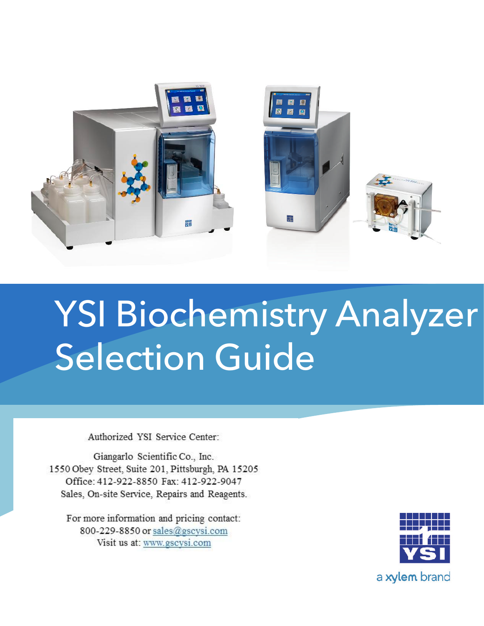

# YSI Biochemistry Analyzer Selection Guide

Authorized YSI Service Center:

Giangarlo Scientific Co., Inc. 1550 Obey Street, Suite 201, Pittsburgh, PA 15205 Office: 412-922-8850 Fax: 412-922-9047 Sales, On-site Service, Repairs and Reagents.

For more information and pricing contact: 800-229-8850 or sales@gscvsi.com Visit us at: www.gscysi.com

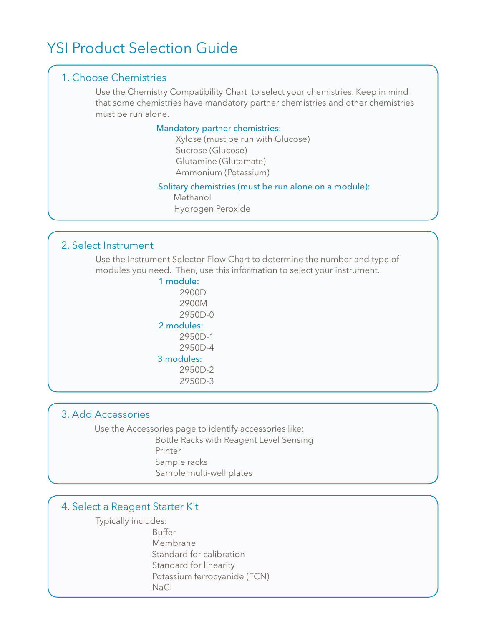# YSI Product Selection Guide

#### 1. Choose Chemistries

Use the Chemistry Compatibility Chart to select your chemistries. Keep in mind that some chemistries have mandatory partner chemistries and other chemistries must be run alone.

#### Mandatory partner chemistries:

 Xylose (must be run with Glucose) Sucrose (Glucose) Glutamine (Glutamate) Ammonium (Potassium)

#### Solitary chemistries (must be run alone on a module):

 Methanol Hydrogen Peroxide

#### 2. Select Instrument

Use the Instrument Selector Flow Chart to determine the number and type of modules you need. Then, use this information to select your instrument.

> 1 module: 2900D 2900M 2950D-0 2 modules: 2950D-1 2950D-4 3 modules: 2950D-2 2950D-3

#### 3. Add Accessories

Use the Accessories page to identify accessories like: Bottle Racks with Reagent Level Sensing Printer

- Sample racks
- Sample multi-well plates

#### 4. Select a Reagent Starter Kit

Typically includes:

Buffer

- Membrane
	- Standard for calibration
	- Standard for linearity
- Potassium ferrocyanide (FCN)
- NaCl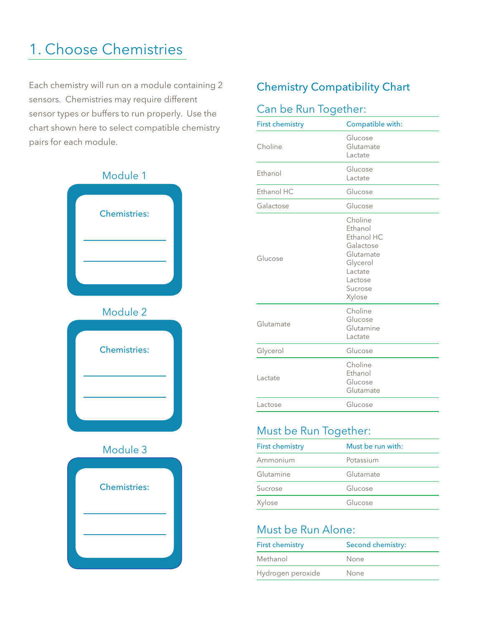# 1. Choose Chemistries

Each chemistry will run on a module containing 2 sensors. Chemistries may require different sensor types or buffers to run properly. Use the chart shown here to select compatible chemistry pairs for each module.



#### Chemistry Compatibility Chart

#### Can be Run Together:

| <b>First chemistry</b>                                | Compatible with:                                                                                                  |  |
|-------------------------------------------------------|-------------------------------------------------------------------------------------------------------------------|--|
| Choline                                               | Glucose<br>Glutamate<br>Lactate                                                                                   |  |
| Ethanol                                               | Glucose<br>Lactate                                                                                                |  |
| Ethanol HC                                            | Glucose                                                                                                           |  |
| Galactose                                             | Glucose                                                                                                           |  |
| Glucose                                               | Choline<br>Ethanol<br>Ethanol HC<br>Galactose<br>Glutamate<br>Glycerol<br>Lactate<br>Lactose<br>Sucrose<br>Xylose |  |
| Glutamate                                             | Choline<br>Glucose<br>Glutamine<br>Lactate                                                                        |  |
| Glycerol                                              | Glucose                                                                                                           |  |
| Choline<br>Ethanol<br>Lactate<br>Glucose<br>Glutamate |                                                                                                                   |  |
| Lactose                                               | Glucose                                                                                                           |  |

#### Must be Run Together:

| <b>First chemistry</b> | Must be run with: |  |
|------------------------|-------------------|--|
| Ammonium               | Potassium         |  |
| Glutamine              | Glutamate         |  |
| Sucrose                | Glucose           |  |
| Xylose                 | Glucose           |  |

#### Must be Run Alone:

| <b>First chemistry</b> | Second chemistry: |
|------------------------|-------------------|
| Methanol               | None              |
| Hydrogen peroxide      | None              |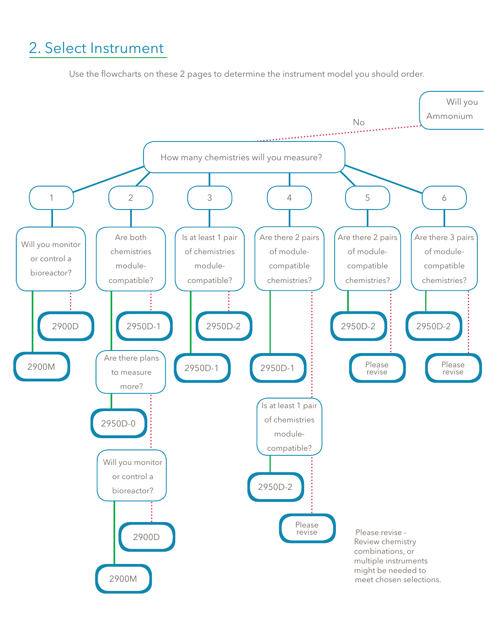# 2. Select Instrument

Use the flowcharts on these 2 pages to determine the instrument model you should order.

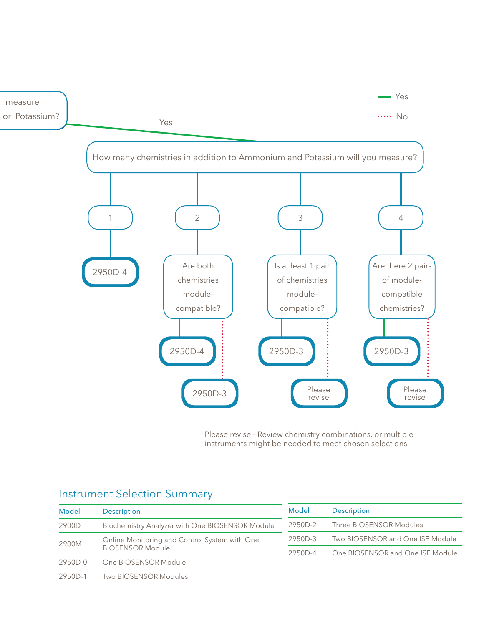

Please revise - Review chemistry combinations, or multiple instruments might be needed to meet chosen selections.

| Model                            | <b>Description</b>                              | Model   | <b>Description</b>               |
|----------------------------------|-------------------------------------------------|---------|----------------------------------|
| 2900D                            | Biochemistry Analyzer with One BIOSENSOR Module | 2950D-2 | Three BIOSENSOR Modules          |
| 2900M<br><b>BIOSENSOR Module</b> | Online Monitoring and Control System with One   | 2950D-3 | Two BIOSENSOR and One ISE Module |
|                                  |                                                 | 2950D-4 | One BIOSENSOR and One ISE Module |
| $2950D-0$                        | One BIOSENSOR Module                            |         |                                  |
| 2950D-1                          | Two BIOSENSOR Modules                           |         |                                  |
|                                  |                                                 |         |                                  |

#### Instrument Selection Summary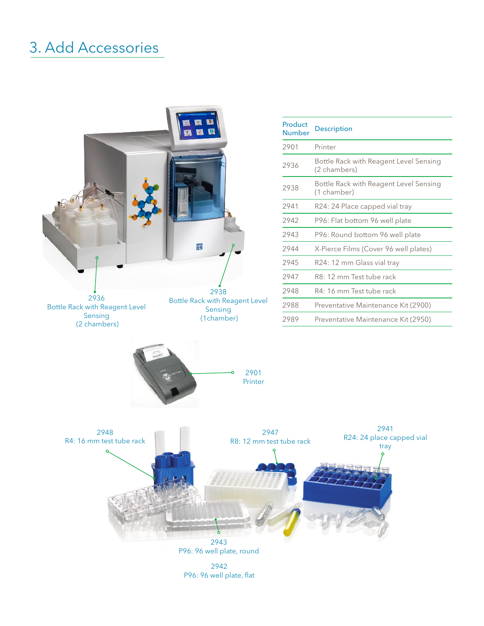# 3. Add Accessories



P96: 96 well plate, flat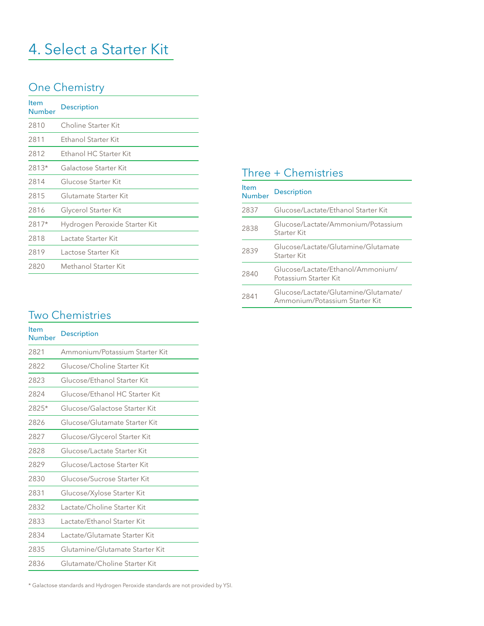# 4. Select a Starter Kit

#### One Chemistry

| <b>Item</b><br>Number | <b>Description</b>            |
|-----------------------|-------------------------------|
| 2810                  | Choline Starter Kit           |
| 2811                  | Ethanol Starter Kit           |
| 2812                  | Ethanol HC Starter Kit        |
| $2813*$               | Galactose Starter Kit         |
| 2814                  | Glucose Starter Kit           |
| 2815                  | Glutamate Starter Kit         |
| 2816                  | Glycerol Starter Kit          |
| 2817*                 | Hydrogen Peroxide Starter Kit |
| 2818                  | Lactate Starter Kit           |
| 2819                  | Lactose Starter Kit           |
| 2820                  | Methanol Starter Kit          |
|                       |                               |

### Three + Chemistries

| <b>Item</b><br><b>Number</b> | <b>Description</b>                                                     |
|------------------------------|------------------------------------------------------------------------|
| 2837                         | Glucose/Lactate/Ethanol Starter Kit                                    |
| 2838                         | Glucose/Lactate/Ammonium/Potassium<br>Starter Kit                      |
| 2839                         | Glucose/Lactate/Glutamine/Glutamate<br>Starter Kit                     |
| 2840                         | Glucose/Lactate/Ethanol/Ammonium/<br>Potassium Starter Kit             |
| 2841                         | Glucose/Lactate/Glutamine/Glutamate/<br>Ammonium/Potassium Starter Kit |

### Two Chemistries

| <b>Item</b><br>Number | <b>Description</b>              |
|-----------------------|---------------------------------|
| 2821                  | Ammonium/Potassium Starter Kit  |
| 2822                  | Glucose/Choline Starter Kit     |
| 2823                  | Glucose/Ethanol Starter Kit     |
| 2824                  | Glucose/Ethanol HC Starter Kit  |
| 2825*                 | Glucose/Galactose Starter Kit   |
| 2826                  | Glucose/Glutamate Starter Kit   |
| 2827                  | Glucose/Glycerol Starter Kit    |
| 2828                  | Glucose/Lactate Starter Kit     |
| 2829                  | Glucose/Lactose Starter Kit     |
| 2830                  | Glucose/Sucrose Starter Kit     |
| 2831                  | Glucose/Xylose Starter Kit      |
| 2832                  | Lactate/Choline Starter Kit     |
| 2833                  | Lactate/Ethanol Starter Kit     |
| 2834                  | Lactate/Glutamate Starter Kit   |
| 2835                  | Glutamine/Glutamate Starter Kit |
| 2836                  | Glutamate/Choline Starter Kit   |

\* Galactose standards and Hydrogen Peroxide standards are not provided by YSI.